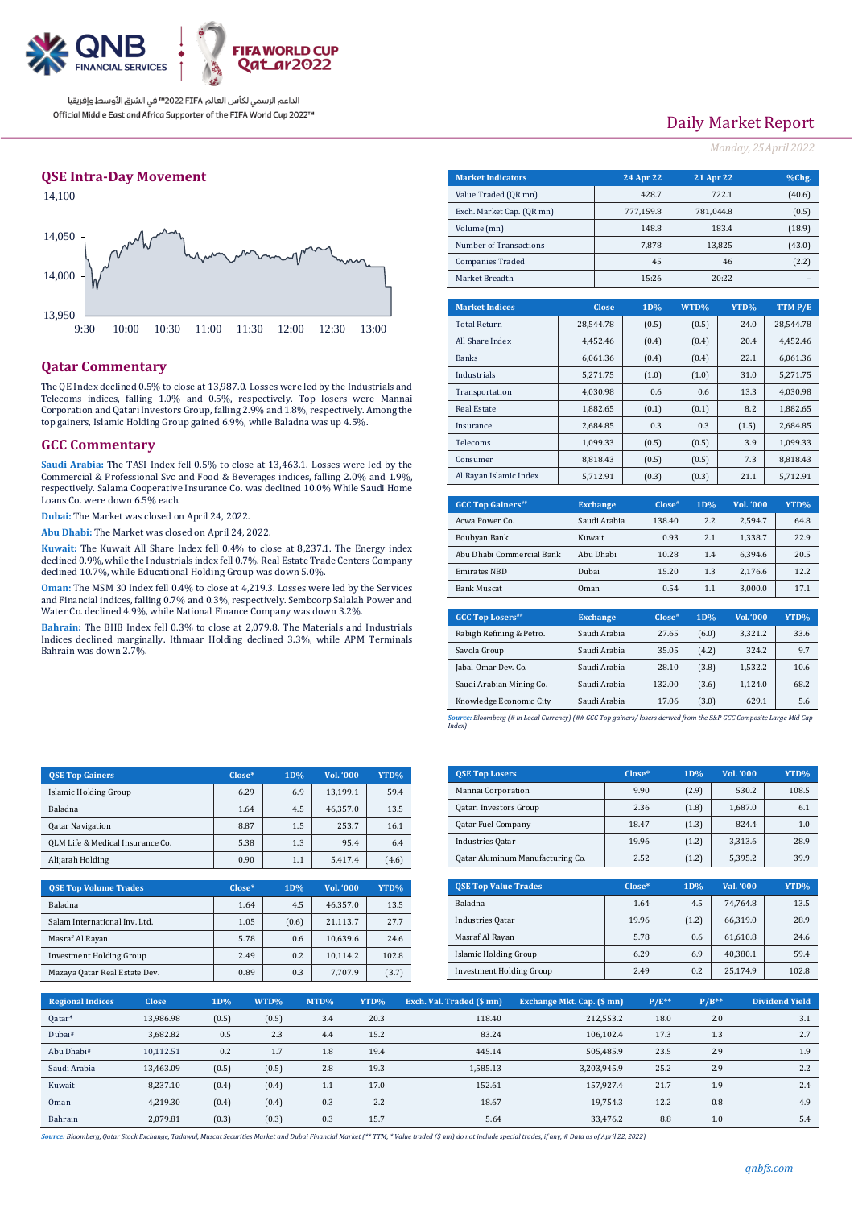

### **QSE Intra-Day Movement**



## **Qatar Commentary**

The QE Index declined 0.5% to close at 13,987.0. Losses were led by the Industrials and Telecoms indices, falling 1.0% and 0.5%, respectively. Top losers were Mannai Corporation and Qatari Investors Group, falling 2.9% and 1.8%, respectively. Among the top gainers, Islamic Holding Group gained 6.9%, while Baladna was up 4.5%.

### **GCC Commentary**

**Saudi Arabia:** The TASI Index fell 0.5% to close at 13,463.1. Losses were led by the Commercial & Professional Svc and Food & Beverages indices, falling 2.0% and 1.9%, respectively. Salama Cooperative Insurance Co. was declined 10.0% While Saudi Home Loans Co. were down 6.5% each.

**Dubai:** The Market was closed on April 24, 2022.

**Abu Dhabi:** The Market was closed on April 24, 2022.

**Kuwait:** The Kuwait All Share Index fell 0.4% to close at 8,237.1. The Energy index declined 0.9%, while the Industrials index fell 0.7%. Real Estate Trade Centers Company declined 10.7%, while Educational Holding Group was down 5.0%.

**Oman:** The MSM 30 Index fell 0.4% to close at 4,219.3. Losses were led by the Services and Financial indices, falling 0.7% and 0.3%, respectively. Sembcorp Salalah Power and Water Co. declined 4.9%, while National Finance Company was down 3.2%.

**Bahrain:** The BHB Index fell 0.3% to close at 2,079.8. The Materials and Industrials Indices declined marginally. Ithmaar Holding declined 3.3%, while APM Terminals Bahrain was down 2.7%.

| Daily Market Report |  |  |  |
|---------------------|--|--|--|
|                     |  |  |  |

*Monday, 25April 2022*

| <b>Market Indicators</b>  |                 | 24 Apr 22          | <b>21 Apr 22</b> |        |                  | %Chg.     |
|---------------------------|-----------------|--------------------|------------------|--------|------------------|-----------|
| Value Traded (QR mn)      |                 | 428.7              |                  | 722.1  |                  | (40.6)    |
| Exch. Market Cap. (QR mn) |                 | 777,159.8          | 781.044.8        |        |                  | (0.5)     |
| Volume (mn)               |                 | 148.8              |                  | 183.4  |                  | (18.9)    |
| Number of Transactions    |                 | 7,878              |                  | 13,825 |                  | (43.0)    |
| <b>Companies Traded</b>   |                 | 45                 |                  | 46     |                  | (2.2)     |
| Market Breadth            |                 | 15:26              |                  | 20:22  |                  |           |
|                           |                 |                    |                  |        |                  |           |
| <b>Market Indices</b>     | <b>Close</b>    | 1D%                | WTD%             | YTD%   |                  | TTM P/E   |
| <b>Total Return</b>       | 28,544.78       | (0.5)              | (0.5)            |        | 24.0             | 28,544.78 |
| All Share Index           | 4,452.46        | (0.4)              | (0.4)            |        | 20.4             | 4,452.46  |
| <b>Banks</b>              | 6,061.36        | (0.4)              | (0.4)            |        | 22.1             | 6,061.36  |
| Industrials               | 5,271.75        | (1.0)              | (1.0)            |        | 31.0             | 5,271.75  |
| Transportation            | 4.030.98        | 0.6                | 0.6              |        | 13.3             | 4.030.98  |
| <b>Real Estate</b>        | 1,882.65        | (0.1)              | (0.1)            |        | 8.2              | 1,882.65  |
| Insurance                 | 2,684.85        | 0.3                | 0.3              | (1.5)  |                  | 2,684.85  |
| Telecoms                  | 1.099.33        | (0.5)              | (0.5)            |        | 3.9              | 1.099.33  |
| Consumer                  | 8,818.43        | (0.5)              | (0.5)            |        | 7.3              | 8,818.43  |
| Al Rayan Islamic Index    | 5,712.91        | (0.3)              | (0.3)            |        | 21.1             | 5,712.91  |
|                           |                 |                    |                  |        |                  |           |
| <b>GCC Top Gainers</b> "  | <b>Exchange</b> | Close <sup>#</sup> | 1D%              |        | <b>Vol. '000</b> | YTD%      |

| <b>GCC Top Gainers</b> "  | <b>Exchange</b> | Close <sup>#</sup> | 1D% | <b>Vol. '000</b> | YTD% |
|---------------------------|-----------------|--------------------|-----|------------------|------|
| Acwa Power Co.            | Saudi Arabia    | 138.40             | 2.2 | 2.594.7          | 64.8 |
| Boubyan Bank              | Kuwait          | 0.93               | 2.1 | 1.338.7          | 22.9 |
| Abu Dhabi Commercial Bank | Abu Dhabi       | 10.28              | 1.4 | 6.394.6          | 20.5 |
| <b>Emirates NBD</b>       | Dubai           | 15.20              | 1.3 | 2.176.6          | 12.2 |
| <b>Bank Muscat</b>        | Oman            | 0.54               | 1.1 | 3.000.0          | 17.1 |
|                           |                 |                    |     |                  |      |

| <b>GCC Top Losers</b> ## | <b>Exchange</b> | Close <sup>#</sup> | 1D%   | Vol.'000 | YTD% |
|--------------------------|-----------------|--------------------|-------|----------|------|
| Rabigh Refining & Petro. | Saudi Arabia    | 27.65              | (6.0) | 3.321.2  | 33.6 |
| Savola Group             | Saudi Arabia    | 35.05              | (4.2) | 324.2    | 9.7  |
| Jabal Omar Dev. Co.      | Saudi Arabia    | 28.10              | (3.8) | 1.532.2  | 10.6 |
| Saudi Arabian Mining Co. | Saudi Arabia    | 132.00             | (3.6) | 1.124.0  | 68.2 |
| Knowledge Economic City  | Saudi Arabia    | 17.06              | (3.0) | 629.1    | 5.6  |
|                          |                 |                    |       |          |      |

*Source: Bloomberg (# in Local Currency) (## GCC Top gainers/ losers derived from the S&P GCC Composite Large Mid Cap Index)*

| <b>OSE Top Gainers</b>           | $Close*$ | 1D% | Vol. '000 | YTD%  |
|----------------------------------|----------|-----|-----------|-------|
| <b>Islamic Holding Group</b>     | 6.29     | 6.9 | 13.199.1  | 59.4  |
| <b>Baladna</b>                   | 1.64     | 4.5 | 46.357.0  | 13.5  |
| <b>Qatar Navigation</b>          | 8.87     | 1.5 | 253.7     | 16.1  |
| QLM Life & Medical Insurance Co. | 5.38     | 1.3 | 95.4      | 6.4   |
| Alijarah Holding                 | 0.90     | 1.1 | 5.417.4   | (4.6) |

| <b>OSE Top Volume Trades</b>    | $Close*$ | 1D%   | Vol. '000 | YTD%  |
|---------------------------------|----------|-------|-----------|-------|
| <b>Baladna</b>                  | 1.64     | 4.5   | 46.357.0  | 13.5  |
| Salam International Inv. Ltd.   | 1.05     | (0.6) | 21.113.7  | 27.7  |
| Masraf Al Rayan                 | 5.78     | 0.6   | 10.639.6  | 24.6  |
| <b>Investment Holding Group</b> | 2.49     | 0.2   | 10.114.2  | 102.8 |
| Mazaya Qatar Real Estate Dev.   | 0.89     | 0.3   | 7.707.9   | (3.7) |

| <b>QSE Top Losers</b>            | $Close*$ | 1D%   | Vol. '000 | YTD%  |
|----------------------------------|----------|-------|-----------|-------|
| Mannai Corporation               | 9.90     | (2.9) | 530.2     | 108.5 |
| Qatari Investors Group           | 2.36     | (1.8) | 1.687.0   | 6.1   |
| <b>Qatar Fuel Company</b>        | 18.47    | (1.3) | 824.4     | 1.0   |
| <b>Industries Qatar</b>          | 19.96    | (1.2) | 3,313.6   | 28.9  |
| Qatar Aluminum Manufacturing Co. | 2.52     | (1.2) | 5.395.2   | 39.9  |

| <b>OSE Top Value Trades</b>     | Close* | 1D%   | Val. '000 | YTD%  |
|---------------------------------|--------|-------|-----------|-------|
| Baladna                         | 1.64   | 4.5   | 74.764.8  | 13.5  |
| Industries Qatar                | 19.96  | (1.2) | 66.319.0  | 28.9  |
| Masraf Al Rayan                 | 5.78   | 0.6   | 61.610.8  | 24.6  |
| Islamic Holding Group           | 6.29   | 6.9   | 40.380.1  | 59.4  |
| <b>Investment Holding Group</b> | 2.49   | 0.2   | 25.174.9  | 102.8 |

| <b>Regional Indices</b> | <b>Close</b> | 1D%   | WTD%  | MTD% | YTD% | Exch. Val. Traded (\$mn) | Exchange Mkt. Cap. (\$ mn) | $P/E**$ | $P/B**$ | <b>Dividend Yield</b> |
|-------------------------|--------------|-------|-------|------|------|--------------------------|----------------------------|---------|---------|-----------------------|
| Qatar*                  | 13.986.98    | (0.5) | (0.5) | 3.4  | 20.3 | 118.40                   | 212,553.2                  | 18.0    | 2.0     | 3.1                   |
| Dubai#                  | 3.682.82     | 0.5   | 2.3   | 4.4  | 15.2 | 83.24                    | 106.102.4                  | 17.3    | 1.3     | 2.7                   |
| Abu Dhabi#              | 10.112.51    | 0.2   | 1.7   | 1.8  | 19.4 | 445.14                   | 505.485.9                  | 23.5    | 2.9     | 1.9                   |
| Saudi Arabia            | 13,463.09    | (0.5) | (0.5) | 2.8  | 19.3 | 1.585.13                 | 3,203,945.9                | 25.2    | 2.9     | 2.2                   |
| Kuwait                  | 8.237.10     | (0.4) | (0.4) | 1.1  | 17.0 | 152.61                   | 157.927.4                  | 21.7    | 1.9     | 2.4                   |
| Oman                    | 4.219.30     | (0.4) | (0.4) | 0.3  | 2.2  | 18.67                    | 19.754.3                   | 12.2    | 0.8     | 4.9                   |
| Bahrain                 | 2.079.81     | (0.3) | (0.3) | 0.3  | 15.7 | 5.64                     | 33.476.2                   | 8.8     | 1.0     | 5.4                   |

*Source: Bloomberg, Qatar Stock Exchange, Tadawul, Muscat Securities Market and Dubai Financial Market (\*\* TTM; \* Value traded (\$ mn) do not include special trades, if any, # Data as of April 22, 2022)*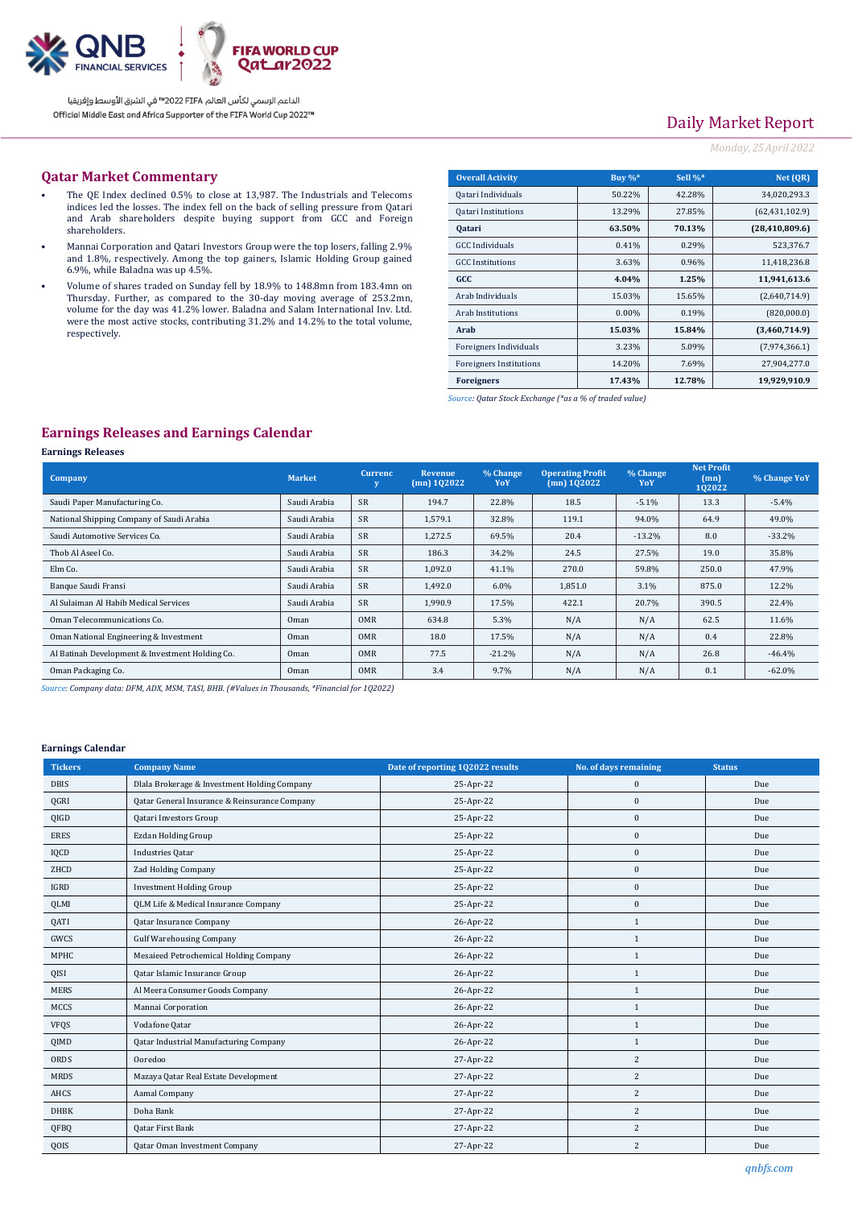

# Daily Market Report

## *Monday, 25April 2022*

### **Qatar Market Commentary**

- The QE Index declined 0.5% to close at 13,987. The Industrials and Telecoms indices led the losses. The index fell on the back of selling pressure from Qatari and Arab shareholders despite buying support from GCC and Foreign shareholders.
- Mannai Corporation and Qatari Investors Group were the top losers, falling 2.9% and 1.8%, respectively. Among the top gainers, Islamic Holding Group gained 6.9%, while Baladna was up 4.5%.
- Volume of shares traded on Sunday fell by 18.9% to 148.8mn from 183.4mn on Thursday. Further, as compared to the 30-day moving average of 253.2mn, volume for the day was 41.2% lower. Baladna and Salam International Inv. Ltd. were the most active stocks, contributing 31.2% and 14.2% to the total volume, respectively.

| <b>Overall Activity</b>        | Buy $\%^*$ | Sell %* | Net (OR)         |
|--------------------------------|------------|---------|------------------|
| Qatari Individuals             | 50.22%     | 42.28%  | 34.020.293.3     |
| <b>Qatari Institutions</b>     | 13.29%     | 27.85%  | (62, 431, 102.9) |
| <b>Qatari</b>                  | 63.50%     | 70.13%  | (28, 410, 809.6) |
| <b>GCC</b> Individuals         | 0.41%      | 0.29%   | 523,376.7        |
| <b>GCC</b> Institutions        | 3.63%      | 0.96%   | 11,418,236.8     |
| GCC                            | 4.04%      | 1.25%   | 11,941,613.6     |
| Arab Individuals               | 15.03%     | 15.65%  | (2,640,714.9)    |
| <b>Arab Institutions</b>       | $0.00\%$   | 0.19%   | (820,000.0)      |
| Arab                           | 15.03%     | 15.84%  | (3,460,714.9)    |
| Foreigners Individuals         | 3.23%      | 5.09%   | (7,974,366.1)    |
| <b>Foreigners Institutions</b> | 14.20%     | 7.69%   | 27,904,277.0     |
| <b>Foreigners</b>              | 17.43%     | 12.78%  | 19,929,910.9     |

*Source: Qatar Stock Exchange (\*as a % of traded value)*

## **Earnings Releases and Earnings Calendar**

#### **Earnings Releases**

| <b>Company</b>                                  | <b>Market</b> | <b>Currenc</b> | Revenue<br>$(mn)$ 102022 | % Change<br>YoY | <b>Operating Profit</b><br>$(mn)$ 102022 | % Change<br>YoY | <b>Net Profit</b><br>(mn)<br>102022 | % Change YoY |
|-------------------------------------------------|---------------|----------------|--------------------------|-----------------|------------------------------------------|-----------------|-------------------------------------|--------------|
| Saudi Paper Manufacturing Co.                   | Saudi Arabia  | <b>SR</b>      | 194.7                    | 22.8%           | 18.5                                     | $-5.1%$         | 13.3                                | $-5.4%$      |
| National Shipping Company of Saudi Arabia       | Saudi Arabia  | <b>SR</b>      | 1,579.1                  | 32.8%           | 119.1                                    | 94.0%           | 64.9                                | 49.0%        |
| Saudi Automotive Services Co.                   | Saudi Arabia  | <b>SR</b>      | 1,272.5                  | 69.5%           | 20.4                                     | $-13.2%$        | 8.0                                 | $-33.2%$     |
| Thob Al Aseel Co.                               | Saudi Arabia  | <b>SR</b>      | 186.3                    | 34.2%           | 24.5                                     | 27.5%           | 19.0                                | 35.8%        |
| Elm Co.                                         | Saudi Arabia  | <b>SR</b>      | 1.092.0                  | 41.1%           | 270.0                                    | 59.8%           | 250.0                               | 47.9%        |
| Banque Saudi Fransi                             | Saudi Arabia  | <b>SR</b>      | 1.492.0                  | 6.0%            | 1,851.0                                  | 3.1%            | 875.0                               | 12.2%        |
| Al Sulaiman Al Habib Medical Services           | Saudi Arabia  | <b>SR</b>      | 1.990.9                  | 17.5%           | 422.1                                    | 20.7%           | 390.5                               | 22.4%        |
| Oman Telecommunications Co.                     | Oman          | <b>OMR</b>     | 634.8                    | 5.3%            | N/A                                      | N/A             | 62.5                                | 11.6%        |
| Oman National Engineering & Investment          | Oman          | <b>OMR</b>     | 18.0                     | 17.5%           | N/A                                      | N/A             | 0.4                                 | 22.8%        |
| Al Batinah Development & Investment Holding Co. | Oman          | <b>OMR</b>     | 77.5                     | $-21.2%$        | N/A                                      | N/A             | 26.8                                | $-46.4%$     |
| Oman Packaging Co.                              | Oman          | <b>OMR</b>     | 3.4                      | 9.7%            | N/A                                      | N/A             | 0.1                                 | $-62.0\%$    |

*Source: Company data: DFM, ADX, MSM, TASI, BHB. (#Values in Thousands, \*Financial for 1Q2022)*

#### **Earnings Calendar**

| <b>Tickers</b> | <b>Company Name</b>                           | Date of reporting 1Q2022 results | No. of days remaining | <b>Status</b> |
|----------------|-----------------------------------------------|----------------------------------|-----------------------|---------------|
| <b>DBIS</b>    | Dlala Brokerage & Investment Holding Company  | 25-Apr-22                        | $\bf{0}$              | Due           |
| QGRI           | Qatar General Insurance & Reinsurance Company | 25-Apr-22                        | $\bf{0}$              | Due           |
| <b>QIGD</b>    | Qatari Investors Group                        | 25-Apr-22                        | $\mathbf{0}$          | Due           |
| <b>ERES</b>    | <b>Ezdan Holding Group</b>                    | 25-Apr-22                        | $\mathbf{0}$          | Due           |
| IQCD           | Industries Qatar                              | 25-Apr-22                        | $\bf{0}$              | Due           |
| ZHCD           | <b>Zad Holding Company</b>                    | 25-Apr-22                        | $\bf{0}$              | Due           |
| IGRD           | <b>Investment Holding Group</b>               | 25-Apr-22                        | $\mathbf{0}$          | Due           |
| QLMI           | QLM Life & Medical Insurance Company          | 25-Apr-22                        | $\bf{0}$              | Due           |
| QATI           | Qatar Insurance Company                       | 26-Apr-22                        | 1                     | Due           |
| GWCS           | <b>Gulf Warehousing Company</b>               | 26-Apr-22                        | 1                     | Due           |
| MPHC           | Mesaieed Petrochemical Holding Company        | 26-Apr-22                        | 1                     | Due           |
| QISI           | Qatar Islamic Insurance Group                 | 26-Apr-22                        | 1                     | Due           |
| <b>MERS</b>    | Al Meera Consumer Goods Company               | 26-Apr-22                        | $\mathbf{1}$          | Due           |
| MCCS           | Mannai Corporation                            | 26-Apr-22                        | 1                     | Due           |
| <b>VFQS</b>    | Vodafone Qatar                                | 26-Apr-22                        | $\mathbf{1}$          | Due           |
| QIMD           | Qatar Industrial Manufacturing Company        | 26-Apr-22                        | $\mathbf{1}$          | Due           |
| ORDS           | Ooredoo                                       | 27-Apr-22                        | 2                     | Due           |
| <b>MRDS</b>    | Mazaya Qatar Real Estate Development          | 27-Apr-22                        | 2                     | Due           |
| AHCS           | Aamal Company                                 | 27-Apr-22                        | 2                     | Due           |
| <b>DHBK</b>    | Doha Bank                                     | 27-Apr-22                        | 2                     | Due           |
| QFBQ           | <b>Qatar First Bank</b>                       | 27-Apr-22                        | 2                     | Due           |
| QOIS           | <b>Qatar Oman Investment Company</b>          | 27-Apr-22                        | 2                     | Due           |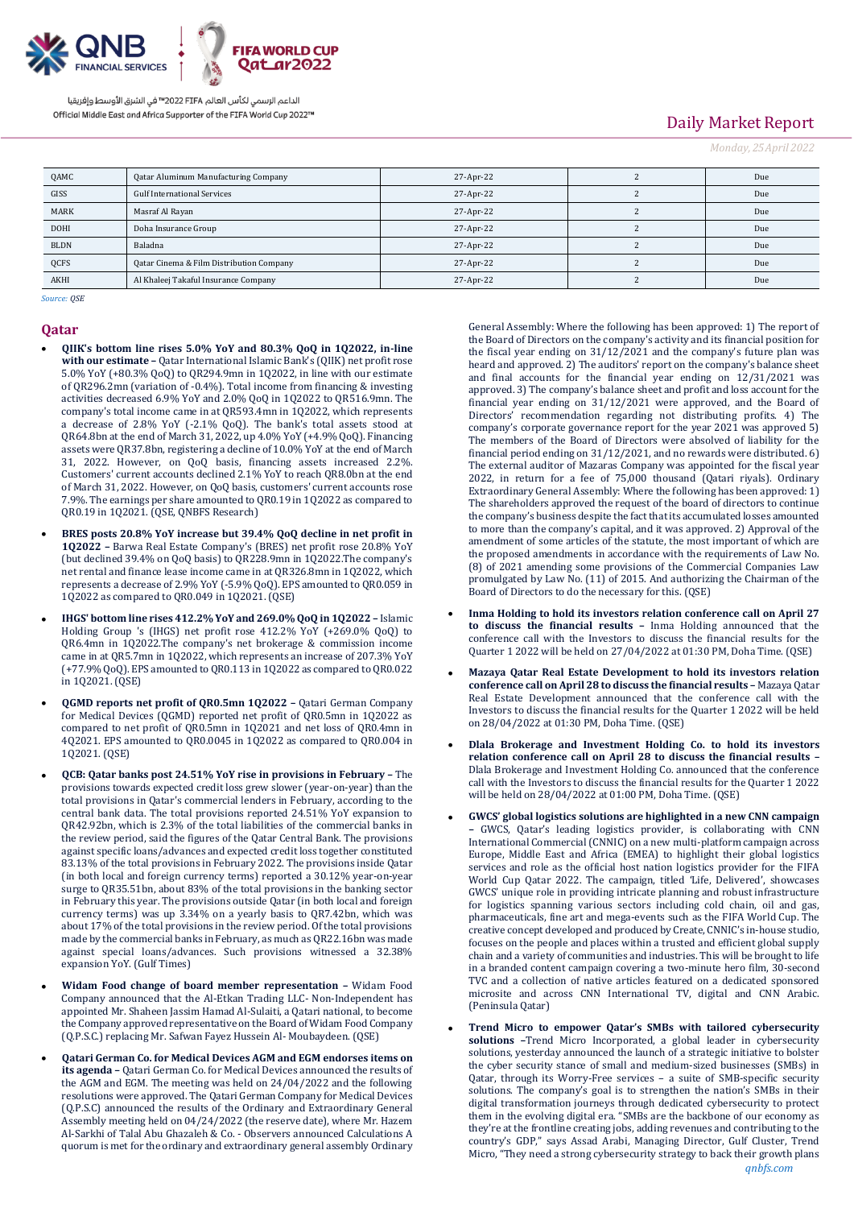

# Daily Market Report

*Monday, 25April 2022*

| QAMC        | Qatar Aluminum Manufacturing Company     | 27-Apr-22 | Due |
|-------------|------------------------------------------|-----------|-----|
| GISS        | <b>Gulf International Services</b>       | 27-Apr-22 | Due |
| <b>MARK</b> | Masraf Al Rayan                          | 27-Apr-22 | Due |
| <b>DOHI</b> | Doha Insurance Group                     | 27-Apr-22 | Due |
| <b>BLDN</b> | Baladna                                  | 27-Apr-22 | Due |
| <b>QCFS</b> | Qatar Cinema & Film Distribution Company | 27-Apr-22 | Due |
| AKHI        | Al Khaleej Takaful Insurance Company     | 27-Apr-22 | Due |

*Source: QSE*

### **Qatar**

- **QIIK's bottom line rises 5.0% YoY and 80.3% QoQ in 1Q2022, in-line with our estimate –** Qatar International Islamic Bank's (QIIK) net profit rose 5.0% YoY (+80.3% QoQ) to QR294.9mn in 1Q2022, in line with our estimate of QR296.2mn (variation of -0.4%). Total income from financing & investing activities decreased 6.9% YoY and 2.0% QoQ in 1Q2022 to QR516.9mn. The company's total income came in at QR593.4mn in 1Q2022, which represents a decrease of 2.8% YoY (-2.1% QoQ). The bank's total assets stood at QR64.8bn at the end of March 31, 2022, up 4.0% YoY (+4.9% QoQ). Financing assets were QR37.8bn, registering a decline of 10.0% YoY at the end of March 31, 2022. However, on QoQ basis, financing assets increased 2.2%. Customers' current accounts declined 2.1% YoY to reach QR8.0bn at the end of March 31, 2022. However, on QoQ basis, customers' current accounts rose 7.9%. The earnings per share amounted to QR0.19 in 1Q2022 as compared to QR0.19 in 1Q2021. (QSE, QNBFS Research)
- **BRES posts 20.8% YoY increase but 39.4% QoQ decline in net profit in 1Q2022 –** Barwa Real Estate Company's (BRES) net profit rose 20.8% YoY (but declined 39.4% on QoQ basis) to QR228.9mn in 1Q2022.The company's net rental and finance lease income came in at QR326.8mn in 1Q2022, which represents a decrease of 2.9% YoY (-5.9% QoQ). EPS amounted to QR0.059 in 1Q2022 as compared to QR0.049 in 1Q2021. (QSE)
- **IHGS' bottom line rises 412.2% YoY and 269.0% QoQ in 1Q2022 –** Islamic Holding Group 's (IHGS) net profit rose 412.2% YoY (+269.0% QoQ) to QR6.4mn in 1Q2022.The company's net brokerage & commission income came in at QR5.7mn in 1Q2022, which represents an increase of 207.3% YoY (+77.9% QoQ). EPS amounted to QR0.113 in 1Q2022 as compared to QR0.022 in 1Q2021. (QSE)
- **QGMD reports net profit of QR0.5mn 1Q2022 –** Qatari German Company for Medical Devices (QGMD) reported net profit of QR0.5mn in 1Q2022 as compared to net profit of QR0.5mn in 1Q2021 and net loss of QR0.4mn in 4Q2021. EPS amounted to QR0.0045 in 1Q2022 as compared to QR0.004 in 1Q2021. (QSE)
- **QCB: Qatar banks post 24.51% YoY rise in provisions in February –** The provisions towards expected credit loss grew slower (year-on-year) than the total provisions in Qatar's commercial lenders in February, according to the central bank data. The total provisions reported 24.51% YoY expansion to QR42.92bn, which is 2.3% of the total liabilities of the commercial banks in the review period, said the figures of the Qatar Central Bank. The provisions against specific loans/advances and expected credit loss together constituted 83.13% of the total provisions in February 2022. The provisions inside Qatar (in both local and foreign currency terms) reported a 30.12% year-on-year surge to QR35.51bn, about 83% of the total provisions in the banking sector in February this year. The provisions outside Qatar (in both local and foreign currency terms) was up 3.34% on a yearly basis to QR7.42bn, which was about 17% of the total provisions in the review period. Of the total provisions made by the commercial banks in February, as much as QR22.16bn was made against special loans/advances. Such provisions witnessed a 32.38% expansion YoY. (Gulf Times)
- **Widam Food change of board member representation –** Widam Food Company announced that the Al-Etkan Trading LLC- Non-Independent has appointed Mr. Shaheen Jassim Hamad Al-Sulaiti, a Qatari national, to become the Company approved representative on the Board of Widam Food Company (Q.P.S.C.) replacing Mr. Safwan Fayez Hussein Al- Moubaydeen. (QSE)
- **Qatari German Co. for Medical Devices AGM and EGM endorses items on its agenda –** Qatari German Co. for Medical Devices announced the results of the AGM and EGM. The meeting was held on 24/04/2022 and the following resolutions were approved. The Qatari German Company for Medical Devices (Q.P.S.C) announced the results of the Ordinary and Extraordinary General Assembly meeting held on 04/24/2022 (the reserve date), where Mr. Hazem Al-Sarkhi of Talal Abu Ghazaleh & Co. - Observers announced Calculations A quorum is met for the ordinary and extraordinary general assembly Ordinary

General Assembly: Where the following has been approved: 1) The report of the Board of Directors on the company's activity and its financial position for the fiscal year ending on 31/12/2021 and the company's future plan was heard and approved. 2) The auditors' report on the company's balance sheet and final accounts for the financial year ending on 12/31/2021 was approved. 3) The company's balance sheet and profit and loss account for the financial year ending on 31/12/2021 were approved, and the Board of Directors' recommendation regarding not distributing profits. 4) The company's corporate governance report for the year 2021 was approved 5) The members of the Board of Directors were absolved of liability for the financial period ending on 31/12/2021, and no rewards were distributed. 6) The external auditor of Mazaras Company was appointed for the fiscal year 2022, in return for a fee of 75,000 thousand (Qatari riyals). Ordinary Extraordinary General Assembly: Where the following has been approved: 1) The shareholders approved the request of the board of directors to continue the company's business despite the fact that its accumulated losses amounted to more than the company's capital, and it was approved. 2) Approval of the amendment of some articles of the statute, the most important of which are the proposed amendments in accordance with the requirements of Law No. (8) of 2021 amending some provisions of the Commercial Companies Law promulgated by Law No. (11) of 2015. And authorizing the Chairman of the Board of Directors to do the necessary for this. (QSE)

- **Inma Holding to hold its investors relation conference call on April 27 to discuss the financial results –** Inma Holding announced that the conference call with the Investors to discuss the financial results for the Quarter 1 2022 will be held on 27/04/2022 at 01:30 PM, Doha Time. (QSE)
- **Mazaya Qatar Real Estate Development to hold its investors relation conference call on April 28 to discuss the financial results –** Mazaya Qatar Real Estate Development announced that the conference call with the Investors to discuss the financial results for the Quarter 1 2022 will be held on 28/04/2022 at 01:30 PM, Doha Time. (QSE)
- **Dlala Brokerage and Investment Holding Co. to hold its investors relation conference call on April 28 to discuss the financial results –** Dlala Brokerage and Investment Holding Co. announced that the conference call with the Investors to discuss the financial results for the Quarter 1 2022 will be held on 28/04/2022 at 01:00 PM, Doha Time. (QSE)
- **GWCS' global logistics solutions are highlighted in a new CNN campaign –** GWCS, Qatar's leading logistics provider, is collaborating with CNN International Commercial (CNNIC) on a new multi-platform campaign across Europe, Middle East and Africa (EMEA) to highlight their global logistics services and role as the official host nation logistics provider for the FIFA World Cup Qatar 2022. The campaign, titled 'Life, Delivered', showcases GWCS' unique role in providing intricate planning and robust infrastructure for logistics spanning various sectors including cold chain, oil and gas, pharmaceuticals, fine art and mega-events such as the FIFA World Cup. The creative concept developed and produced by Create, CNNIC's in-house studio, focuses on the people and places within a trusted and efficient global supply chain and a variety of communities and industries. This will be brought to life in a branded content campaign covering a two-minute hero film, 30-second TVC and a collection of native articles featured on a dedicated sponsored microsite and across CNN International TV, digital and CNN Arabic. (Peninsula Qatar)
- **Trend Micro to empower Qatar's SMBs with tailored cybersecurity solutions –**Trend Micro Incorporated, a global leader in cybersecurity solutions, yesterday announced the launch of a strategic initiative to bolster the cyber security stance of small and medium-sized businesses (SMBs) in Qatar, through its Worry-Free services – a suite of SMB-specific security solutions. The company's goal is to strengthen the nation's SMBs in their digital transformation journeys through dedicated cybersecurity to protect them in the evolving digital era. "SMBs are the backbone of our economy as they're at the frontline creating jobs, adding revenues and contributing to the country's GDP," says Assad Arabi, Managing Director, Gulf Cluster, Trend Micro, "They need a strong cybersecurity strategy to back their growth plans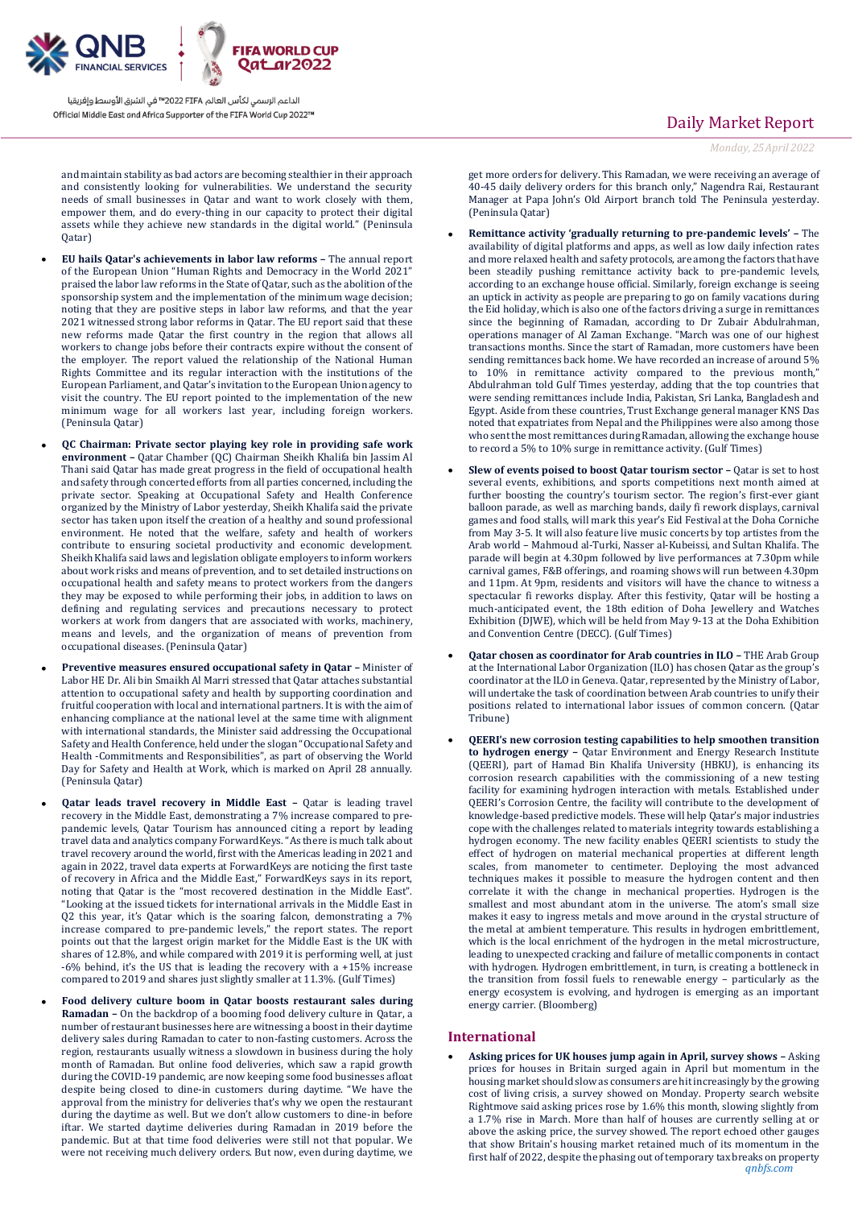

and maintain stability as bad actors are becoming stealthier in their approach and consistently looking for vulnerabilities. We understand the security needs of small businesses in Qatar and want to work closely with them, empower them, and do every-thing in our capacity to protect their digital assets while they achieve new standards in the digital world." (Peninsula Qatar)

- **EU hails Qatar's achievements in labor law reforms –** The annual report of the European Union "Human Rights and Democracy in the World 2021" praised the labor law reforms in the State of Qatar, such as the abolition of the sponsorship system and the implementation of the minimum wage decision; noting that they are positive steps in labor law reforms, and that the year 2021 witnessed strong labor reforms in Qatar. The EU report said that these new reforms made Qatar the first country in the region that allows all workers to change jobs before their contracts expire without the consent of the employer. The report valued the relationship of the National Human Rights Committee and its regular interaction with the institutions of the European Parliament, and Qatar's invitation to the European Union agency to visit the country. The EU report pointed to the implementation of the new minimum wage for all workers last year, including foreign workers. (Peninsula Qatar)
- **QC Chairman: Private sector playing key role in providing safe work environment –** Qatar Chamber (QC) Chairman Sheikh Khalifa bin Jassim Al Thani said Qatar has made great progress in the field of occupational health and safety through concerted efforts from all parties concerned, including the private sector. Speaking at Occupational Safety and Health Conference organized by the Ministry of Labor yesterday, Sheikh Khalifa said the private sector has taken upon itself the creation of a healthy and sound professional environment. He noted that the welfare, safety and health of workers contribute to ensuring societal productivity and economic development. Sheikh Khalifa said laws and legislation obligate employers to inform workers about work risks and means of prevention, and to set detailed instructions on occupational health and safety means to protect workers from the dangers they may be exposed to while performing their jobs, in addition to laws on defining and regulating services and precautions necessary to protect workers at work from dangers that are associated with works, machinery, means and levels, and the organization of means of prevention from occupational diseases. (Peninsula Qatar)
- **Preventive measures ensured occupational safety in Qatar –** Minister of Labor HE Dr. Ali bin Smaikh Al Marri stressed that Qatar attaches substantial attention to occupational safety and health by supporting coordination and fruitful cooperation with local and international partners. It is with the aim of enhancing compliance at the national level at the same time with alignment with international standards, the Minister said addressing the Occupational Safety and Health Conference, held under the slogan "Occupational Safety and Health -Commitments and Responsibilities", as part of observing the World Day for Safety and Health at Work, which is marked on April 28 annually. (Peninsula Qatar)
- **Qatar leads travel recovery in Middle East Qatar is leading travel** recovery in the Middle East, demonstrating a 7% increase compared to prepandemic levels, Qatar Tourism has announced citing a report by leading travel data and analytics company ForwardKeys. "As there is much talk about travel recovery around the world, first with the Americas leading in 2021 and again in 2022, travel data experts at ForwardKeys are noticing the first taste of recovery in Africa and the Middle East," ForwardKeys says in its report, noting that Qatar is the "most recovered destination in the Middle East". "Looking at the issued tickets for international arrivals in the Middle East in Q2 this year, it's Qatar which is the soaring falcon, demonstrating a 7% increase compared to pre-pandemic levels," the report states. The report points out that the largest origin market for the Middle East is the UK with shares of 12.8%, and while compared with 2019 it is performing well, at just -6% behind, it's the US that is leading the recovery with a +15% increase compared to 2019 and shares just slightly smaller at 11.3%. (Gulf Times)
- **Food delivery culture boom in Qatar boosts restaurant sales during Ramadan –** On the backdrop of a booming food delivery culture in Qatar, a number of restaurant businesses here are witnessing a boost in their daytime delivery sales during Ramadan to cater to non-fasting customers. Across the region, restaurants usually witness a slowdown in business during the holy month of Ramadan. But online food deliveries, which saw a rapid growth during the COVID-19 pandemic, are now keeping some food businesses afloat despite being closed to dine-in customers during daytime. "We have the approval from the ministry for deliveries that's why we open the restaurant during the daytime as well. But we don't allow customers to dine-in before iftar. We started daytime deliveries during Ramadan in 2019 before the pandemic. But at that time food deliveries were still not that popular. We were not receiving much delivery orders. But now, even during daytime, we

# Daily Market Report

*Monday, 25April 2022*

get more orders for delivery. This Ramadan, we were receiving an average of 40-45 daily delivery orders for this branch only," Nagendra Rai, Restaurant Manager at Papa John's Old Airport branch told The Peninsula yesterday. (Peninsula Qatar)

- **Remittance activity 'gradually returning to pre-pandemic levels' –** The availability of digital platforms and apps, as well as low daily infection rates and more relaxed health and safety protocols, are among the factors that have been steadily pushing remittance activity back to pre-pandemic levels, according to an exchange house official. Similarly, foreign exchange is seeing an uptick in activity as people are preparing to go on family vacations during the Eid holiday, which is also one of the factors driving a surge in remittances since the beginning of Ramadan, according to Dr Zubair Abdulrahman, operations manager of Al Zaman Exchange. "March was one of our highest transactions months. Since the start of Ramadan, more customers have been sending remittances back home. We have recorded an increase of around 5% to 10% in remittance activity compared to the previous month," Abdulrahman told Gulf Times yesterday, adding that the top countries that were sending remittances include India, Pakistan, Sri Lanka, Bangladesh and Egypt. Aside from these countries, Trust Exchange general manager KNS Das noted that expatriates from Nepal and the Philippines were also among those who sent the most remittances during Ramadan, allowing the exchange house to record a 5% to 10% surge in remittance activity. (Gulf Times)
- **Slew of events poised to boost Qatar tourism sector Qatar is set to host** several events, exhibitions, and sports competitions next month aimed at further boosting the country's tourism sector. The region's first-ever giant balloon parade, as well as marching bands, daily fi rework displays, carnival games and food stalls, will mark this year's Eid Festival at the Doha Corniche from May 3-5. It will also feature live music concerts by top artistes from the Arab world – Mahmoud al-Turki, Nasser al-Kubeissi, and Sultan Khalifa. The parade will begin at 4.30pm followed by live performances at 7.30pm while carnival games, F&B offerings, and roaming shows will run between 4.30pm and 11pm. At 9pm, residents and visitors will have the chance to witness a spectacular fi reworks display. After this festivity, Qatar will be hosting a much-anticipated event, the 18th edition of Doha Jewellery and Watches Exhibition (DJWE), which will be held from May 9-13 at the Doha Exhibition and Convention Centre (DECC). (Gulf Times)
- **Qatar chosen as coordinator for Arab countries in ILO –** THE Arab Group at the International Labor Organization (ILO) has chosen Qatar as the group's coordinator at the ILO in Geneva. Qatar, represented by the Ministry of Labor, will undertake the task of coordination between Arab countries to unify their positions related to international labor issues of common concern. (Qatar Tribune)
- **QEERI's new corrosion testing capabilities to help smoothen transition to hydrogen energy –** Qatar Environment and Energy Research Institute (QEERI), part of Hamad Bin Khalifa University (HBKU), is enhancing its corrosion research capabilities with the commissioning of a new testing facility for examining hydrogen interaction with metals. Established under QEERI's Corrosion Centre, the facility will contribute to the development of knowledge-based predictive models. These will help Qatar's major industries cope with the challenges related to materials integrity towards establishing a hydrogen economy. The new facility enables QEERI scientists to study the effect of hydrogen on material mechanical properties at different length scales, from manometer to centimeter. Deploying the most advanced techniques makes it possible to measure the hydrogen content and then correlate it with the change in mechanical properties. Hydrogen is the smallest and most abundant atom in the universe. The atom's small size makes it easy to ingress metals and move around in the crystal structure of the metal at ambient temperature. This results in hydrogen embrittlement, which is the local enrichment of the hydrogen in the metal microstructure, leading to unexpected cracking and failure of metallic components in contact with hydrogen. Hydrogen embrittlement, in turn, is creating a bottleneck in the transition from fossil fuels to renewable energy – particularly as the energy ecosystem is evolving, and hydrogen is emerging as an important energy carrier. (Bloomberg)

### **International**

 **Asking prices for UK houses jump again in April, survey shows –** Asking prices for houses in Britain surged again in April but momentum in the housing market should slow as consumers are hit increasingly by the growing cost of living crisis, a survey showed on Monday. Property search website Rightmove said asking prices rose by 1.6% this month, slowing slightly from a 1.7% rise in March. More than half of houses are currently selling at or above the asking price, the survey showed. The report echoed other gauges that show Britain's housing market retained much of its momentum in the first half of 2022, despite the phasing out of temporary tax breaks on property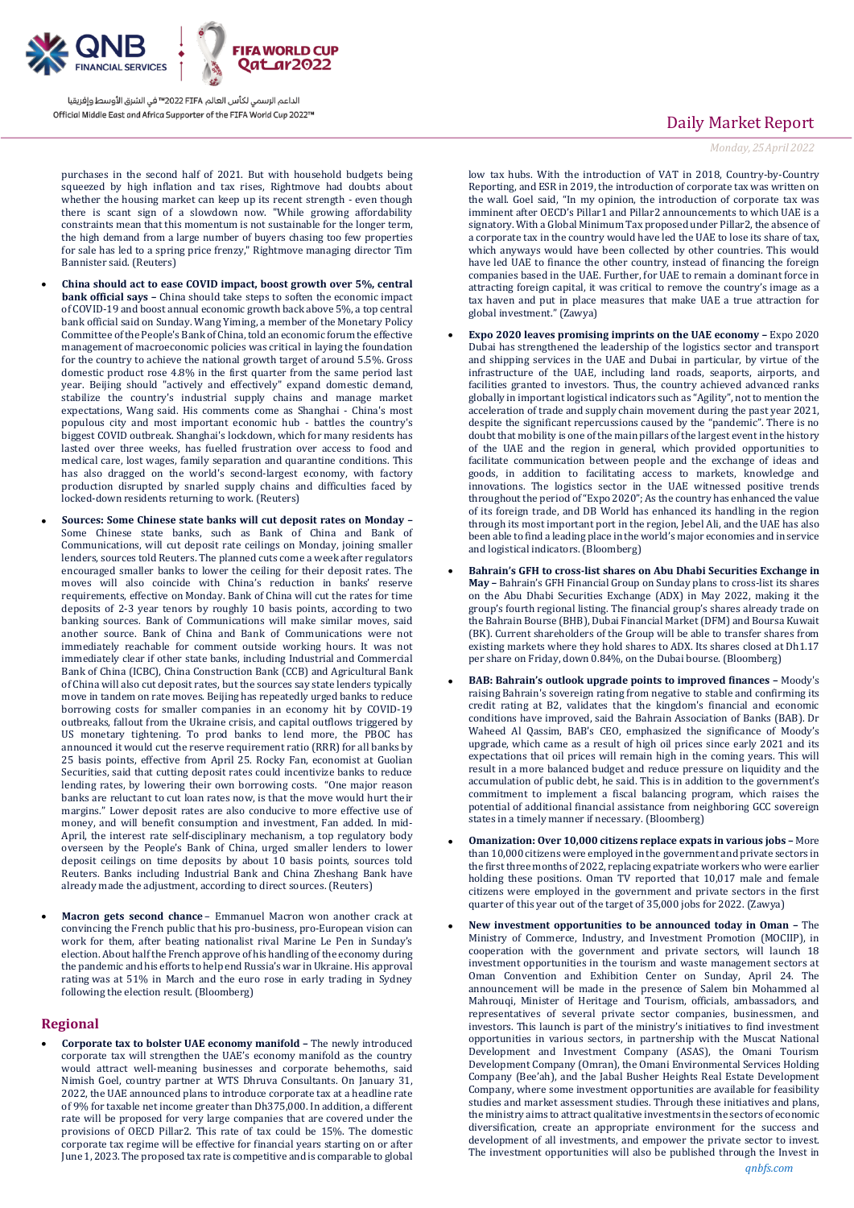

purchases in the second half of 2021. But with household budgets being squeezed by high inflation and tax rises, Rightmove had doubts about whether the housing market can keep up its recent strength - even though there is scant sign of a slowdown now. "While growing affordability constraints mean that this momentum is not sustainable for the longer term, the high demand from a large number of buyers chasing too few properties for sale has led to a spring price frenzy," Rightmove managing director Tim Bannister said. (Reuters)

- **China should act to ease COVID impact, boost growth over 5%, central bank official says –** China should take steps to soften the economic impact of COVID-19 and boost annual economic growth back above 5%, a top central bank official said on Sunday. Wang Yiming, a member of the Monetary Policy Committee of the People's Bank of China, told an economic forum the effective management of macroeconomic policies was critical in laying the foundation for the country to achieve the national growth target of around 5.5%. Gross domestic product rose 4.8% in the first quarter from the same period last year. Beijing should "actively and effectively" expand domestic demand, stabilize the country's industrial supply chains and manage market expectations, Wang said. His comments come as Shanghai - China's most populous city and most important economic hub - battles the country's biggest COVID outbreak. Shanghai's lockdown, which for many residents has lasted over three weeks, has fuelled frustration over access to food and medical care, lost wages, family separation and quarantine conditions. This has also dragged on the world's second-largest economy, with factory production disrupted by snarled supply chains and difficulties faced by locked-down residents returning to work. (Reuters)
- **Sources: Some Chinese state banks will cut deposit rates on Monday –** Some Chinese state banks, such as Bank of China and Bank of Communications, will cut deposit rate ceilings on Monday, joining smaller lenders, sources told Reuters. The planned cuts come a week after regulators encouraged smaller banks to lower the ceiling for their deposit rates. The moves will also coincide with China's reduction in banks' reserve requirements, effective on Monday. Bank of China will cut the rates for time deposits of 2-3 year tenors by roughly 10 basis points, according to two banking sources. Bank of Communications will make similar moves, said another source. Bank of China and Bank of Communications were not immediately reachable for comment outside working hours. It was not immediately clear if other state banks, including Industrial and Commercial Bank of China (ICBC), China Construction Bank (CCB) and Agricultural Bank of China will also cut deposit rates, but the sources say state lenders typically move in tandem on rate moves. Beijing has repeatedly urged banks to reduce borrowing costs for smaller companies in an economy hit by COVID-19 outbreaks, fallout from the Ukraine crisis, and capital outflows triggered by US monetary tightening. To prod banks to lend more, the PBOC has announced it would cut the reserve requirement ratio (RRR) for all banks by 25 basis points, effective from April 25. Rocky Fan, economist at Guolian Securities, said that cutting deposit rates could incentivize banks to reduce lending rates, by lowering their own borrowing costs. "One major reason banks are reluctant to cut loan rates now, is that the move would hurt their margins." Lower deposit rates are also conducive to more effective use of money, and will benefit consumption and investment, Fan added. In mid-April, the interest rate self-disciplinary mechanism, a top regulatory body overseen by the People's Bank of China, urged smaller lenders to lower deposit ceilings on time deposits by about 10 basis points, sources told Reuters. Banks including Industrial Bank and China Zheshang Bank have already made the adjustment, according to direct sources. (Reuters)
- **Macron gets second chance** Emmanuel Macron won another crack at convincing the French public that his pro-business, pro-European vision can work for them, after beating nationalist rival Marine Le Pen in Sunday's election. About half the French approve of his handling of the economy during the pandemic and his efforts to help end Russia's war in Ukraine. His [approval](https://www.bloomberg.com/news/terminal/R8FCA9T1UM0W)  [rating](https://www.bloomberg.com/news/terminal/R8FCA9T1UM0W) was at 51% in March and the euro rose in early trading in Sydney following the election result. (Bloomberg)

### **Regional**

 **Corporate tax to bolster UAE economy manifold –** The newly introduced corporate tax will strengthen the UAE's economy manifold as the country would attract well-meaning businesses and corporate behemoths, said Nimish Goel, country partner at WTS Dhruva Consultants. On January 31, 2022, the UAE announced plans to introduce corporate tax at a headline rate of 9% for taxable net income greater than Dh375,000. In addition, a different rate will be proposed for very large companies that are covered under the provisions of OECD Pillar2. This rate of tax could be 15%. The domestic corporate tax regime will be effective for financial years starting on or after June 1, 2023. The proposed tax rate is competitive and is comparable to global

# Daily Market Report

*Monday, 25April 2022*

low tax hubs. With the introduction of VAT in 2018, Country-by-Country Reporting, and ESR in 2019, the introduction of corporate tax was written on the wall. Goel said, "In my opinion, the introduction of corporate tax was imminent after OECD's Pillar1 and Pillar2 announcements to which UAE is a signatory. With a Global Minimum Tax proposed under Pillar2, the absence of a corporate tax in the country would have led the UAE to lose its share of tax, which anyways would have been collected by other countries. This would have led UAE to finance the other country, instead of financing the foreign companies based in the UAE. Further, for UAE to remain a dominant force in attracting foreign capital, it was critical to remove the country's image as a tax haven and put in place measures that make UAE a true attraction for global investment." (Zawya)

- **Expo 2020 leaves promising imprints on the UAE economy –** Expo 2020 Dubai has strengthened the leadership of the logistics sector and transport and shipping services in the UAE and Dubai in particular, by virtue of the infrastructure of the UAE, including land roads, seaports, airports, and facilities granted to investors. Thus, the country achieved advanced ranks globally in important logistical indicators such as "Agility", not to mention the acceleration of trade and supply chain movement during the past year 2021, despite the significant repercussions caused by the "pandemic". There is no doubt that mobility is one of the main pillars of the largest event in the history of the UAE and the region in general, which provided opportunities to facilitate communication between people and the exchange of ideas and goods, in addition to facilitating access to markets, knowledge and innovations. The logistics sector in the UAE witnessed positive trends throughout the period of "Expo 2020"; As the country has enhanced the value of its foreign trade, and DB World has enhanced its handling in the region through its most important port in the region, Jebel Ali, and the UAE has also been able to find a leading place in the world's major economies and in service and logistical indicators. (Bloomberg)
- **Bahrain's GFH to cross-list shares on Abu Dhabi Securities Exchange in May –** Bahrain's GFH Financial Group on Sunday plans to cross-list its shares on the Abu Dhabi Securities Exchange (ADX) in May 2022, making it the group's fourth regional listing. The financial group's shares already trade on the Bahrain Bourse (BHB), Dubai Financial Market (DFM) and Boursa Kuwait (BK). Current shareholders of the Group will be able to transfer shares from existing markets where they hold shares to ADX. Its shares closed at Dh1.17 per share on Friday, down 0.84%, on the Dubai bourse. (Bloomberg)
- **BAB: Bahrain's outlook upgrade points to improved finances –** Moody's raising Bahrain's sovereign rating from negative to stable and confirming its credit rating at B2, validates that the kingdom's financial and economic conditions have improved, said the Bahrain Association of Banks (BAB). Dr Waheed Al Qassim, BAB's CEO, emphasized the significance of Moody's upgrade, which came as a result of high oil prices since early 2021 and its expectations that oil prices will remain high in the coming years. This will result in a more balanced budget and reduce pressure on liquidity and the accumulation of public debt, he said. This is in addition to the government's commitment to implement a fiscal balancing program, which raises the potential of additional financial assistance from neighboring GCC sovereign states in a timely manner if necessary. (Bloomberg)
- **Omanization: Over 10,000 citizens replace expats in various jobs –** More than 10,000 citizens were employed in the government and private sectors in the first three months of 2022, replacing expatriate workers who were earlier holding these positions. Oman TV reported that 10,017 male and female citizens were employed in the government and private sectors in the first quarter of this year out of the target of 35,000 jobs for 2022. (Zawya)
- **New investment opportunities to be announced today in Oman –** The Ministry of Commerce, Industry, and Investment Promotion (MOCIIP), in cooperation with the government and private sectors, will launch 18 investment opportunities in the tourism and waste management sectors at Oman Convention and Exhibition Center on Sunday, April 24. The announcement will be made in the presence of Salem bin Mohammed al Mahrouqi, Minister of Heritage and Tourism, officials, ambassadors, and representatives of several private sector companies, businessmen, and investors. This launch is part of the ministry's initiatives to find investment opportunities in various sectors, in partnership with the Muscat National Development and Investment Company (ASAS), the Omani Tourism Development Company (Omran), the Omani Environmental Services Holding Company (Bee'ah), and the Jabal Busher Heights Real Estate Development Company, where some investment opportunities are available for feasibility studies and market assessment studies. Through these initiatives and plans, the ministry aims to attract qualitative investments in the sectors of economic diversification, create an appropriate environment for the success and development of all investments, and empower the private sector to invest. The investment opportunities will also be published through the Invest in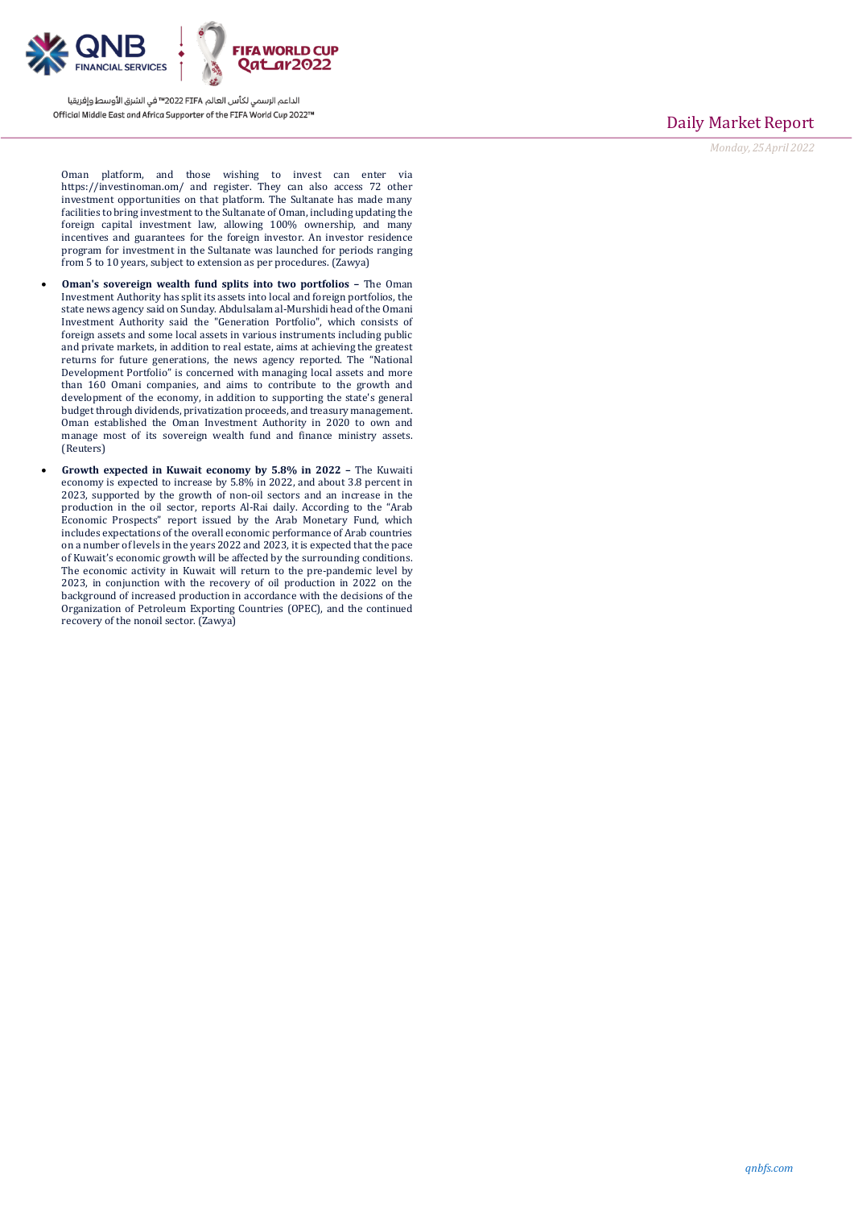

Daily Market Report

*Monday, 25April 2022*

Oman platform, and those wishing to invest can enter via https://investinoman.om/ and register. They can also access 72 other investment opportunities on that platform. The Sultanate has made many facilities to bring investment to the Sultanate of Oman, including updating the foreign capital investment law, allowing 100% ownership, and many incentives and guarantees for the foreign investor. An investor residence program for investment in the Sultanate was launched for periods ranging from 5 to 10 years, subject to extension as per procedures. (Zawya)

- **Oman's sovereign wealth fund splits into two portfolios –** The Oman Investment Authority has split its assets into local and foreign portfolios, the state news agency said on Sunday. Abdulsalam al-Murshidi head of the Omani Investment Authority said the "Generation Portfolio", which consists of foreign assets and some local assets in various instruments including public and private markets, in addition to real estate, aims at achieving the greatest returns for future generations, the news agency reported. The "National Development Portfolio" is concerned with managing local assets and more than 160 Omani companies, and aims to contribute to the growth and development of the economy, in addition to supporting the state's general budget through dividends, privatization proceeds, and treasury management. Oman established the Oman Investment Authority in 2020 to own and manage most of its sovereign wealth fund and finance ministry assets. (Reuters)
- **Growth expected in Kuwait economy by 5.8% in 2022 –** The Kuwaiti economy is expected to increase by 5.8% in 2022, and about 3.8 percent in 2023, supported by the growth of non-oil sectors and an increase in the production in the oil sector, reports Al-Rai daily. According to the "Arab Economic Prospects" report issued by the Arab Monetary Fund, which includes expectations of the overall economic performance of Arab countries on a number of levels in the years 2022 and 2023, it is expected that the pace of Kuwait's economic growth will be affected by the surrounding conditions. The economic activity in Kuwait will return to the pre-pandemic level by 2023, in conjunction with the recovery of oil production in 2022 on the background of increased production in accordance with the decisions of the Organization of Petroleum Exporting Countries (OPEC), and the continued recovery of the nonoil sector. (Zawya)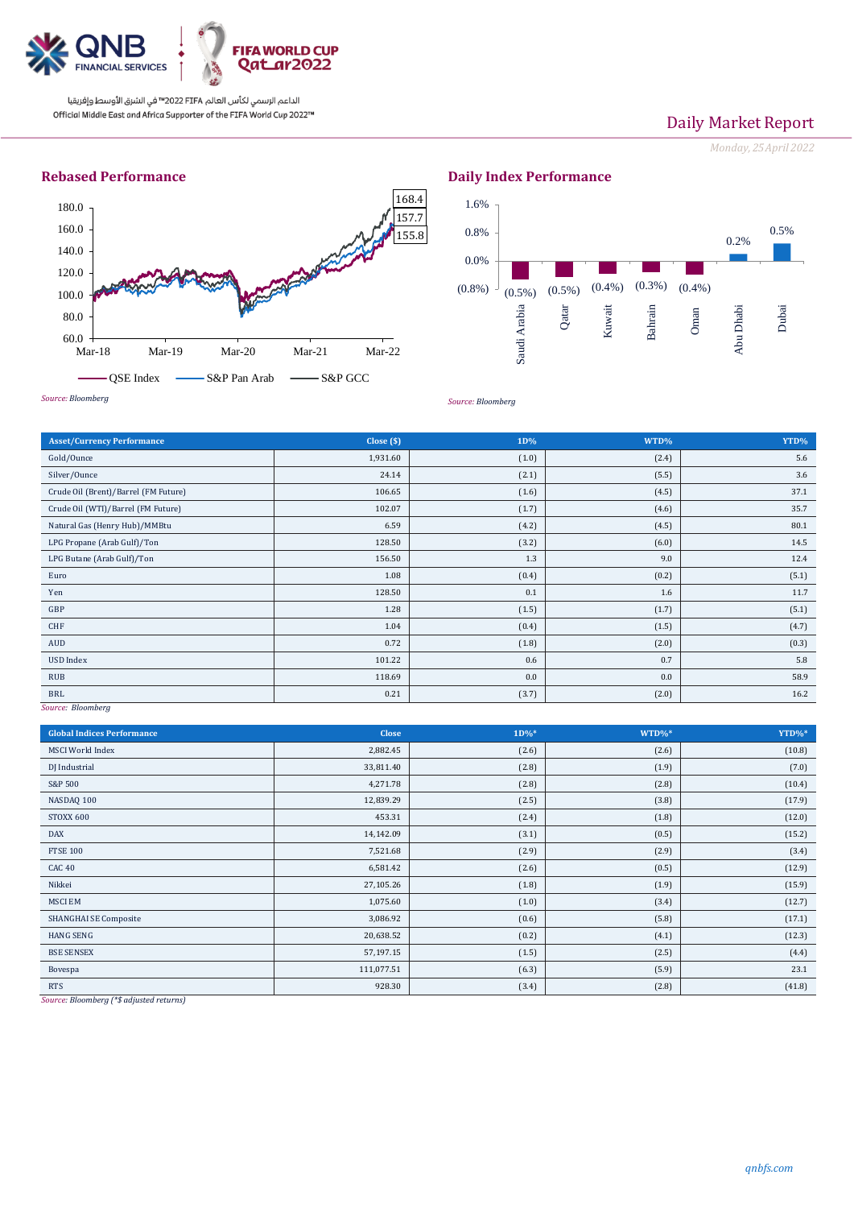

# Daily Market Report

*Monday, 25April 2022*



**Daily Index Performance**



*Source: Bloomberg*

| Close (\$) | 1D%   | WTD%  | YTD%  |
|------------|-------|-------|-------|
| 1,931.60   | (1.0) | (2.4) | 5.6   |
| 24.14      | (2.1) | (5.5) | 3.6   |
| 106.65     | (1.6) | (4.5) | 37.1  |
| 102.07     | (1.7) | (4.6) | 35.7  |
| 6.59       | (4.2) | (4.5) | 80.1  |
| 128.50     | (3.2) | (6.0) | 14.5  |
| 156.50     | 1.3   | 9.0   | 12.4  |
| 1.08       | (0.4) | (0.2) | (5.1) |
| 128.50     | 0.1   | 1.6   | 11.7  |
| 1.28       | (1.5) | (1.7) | (5.1) |
| 1.04       | (0.4) | (1.5) | (4.7) |
| 0.72       | (1.8) | (2.0) | (0.3) |
| 101.22     | 0.6   | 0.7   | 5.8   |
| 118.69     | 0.0   | 0.0   | 58.9  |
| 0.21       | (3.7) | (2.0) | 16.2  |
|            |       |       |       |

*Source: Bloomberg*

| <b>Global Indices Performance</b>                                  | <b>Close</b> | $1D\%*$ | $WTD\%*$ | YTD%*  |
|--------------------------------------------------------------------|--------------|---------|----------|--------|
| <b>MSCI</b> World Index                                            | 2,882.45     | (2.6)   | (2.6)    | (10.8) |
| DJ Industrial                                                      | 33,811.40    | (2.8)   | (1.9)    | (7.0)  |
| S&P 500                                                            | 4,271.78     | (2.8)   | (2.8)    | (10.4) |
| NASDAQ 100                                                         | 12,839.29    | (2.5)   | (3.8)    | (17.9) |
| STOXX 600                                                          | 453.31       | (2.4)   | (1.8)    | (12.0) |
| <b>DAX</b>                                                         | 14,142.09    | (3.1)   | (0.5)    | (15.2) |
| <b>FTSE 100</b>                                                    | 7,521.68     | (2.9)   | (2.9)    | (3.4)  |
| CAC <sub>40</sub>                                                  | 6,581.42     | (2.6)   | (0.5)    | (12.9) |
| Nikkei                                                             | 27,105.26    | (1.8)   | (1.9)    | (15.9) |
| <b>MSCIEM</b>                                                      | 1,075.60     | (1.0)   | (3.4)    | (12.7) |
| <b>SHANGHAI SE Composite</b>                                       | 3,086.92     | (0.6)   | (5.8)    | (17.1) |
| <b>HANG SENG</b>                                                   | 20,638.52    | (0.2)   | (4.1)    | (12.3) |
| <b>BSE SENSEX</b>                                                  | 57,197.15    | (1.5)   | (2.5)    | (4.4)  |
| Bovespa                                                            | 111,077.51   | (6.3)   | (5.9)    | 23.1   |
| <b>RTS</b><br>$mT = -1$ and $mT = -1$<br><b>Contract</b><br>$\sim$ | 928.30       | (3.4)   | (2.8)    | (41.8) |

*Source: Bloomberg (\*\$ adjusted returns)*